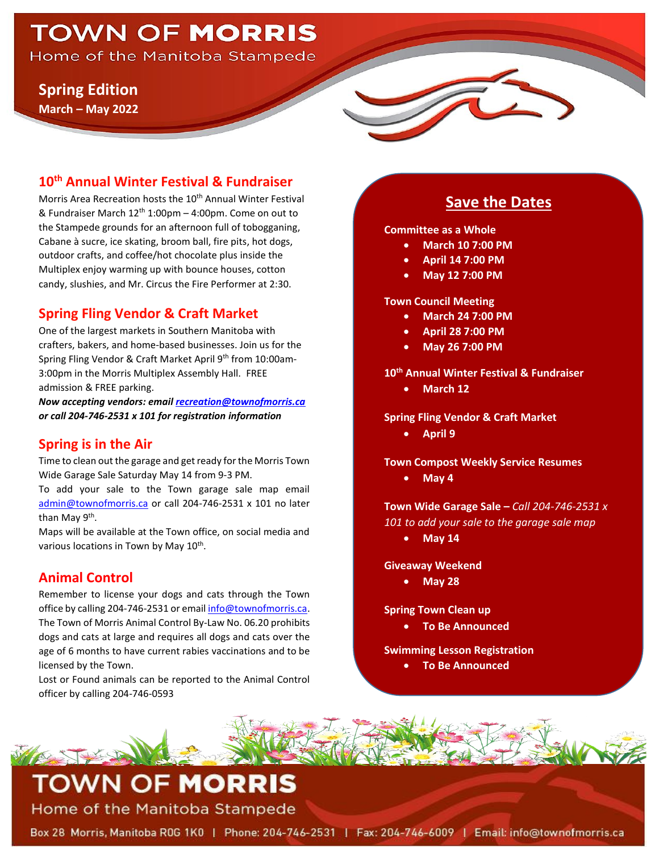# **TOWN OF MORRIS**

Home of the Manitoba Stampede

## **Spring Edition**

**March – May 2022**

## **10th Annual Winter Festival & Fundraiser**

Morris Area Recreation hosts the 10<sup>th</sup> Annual Winter Festival & Fundraiser March  $12^{th}$  1:00pm – 4:00pm. Come on out to the Stampede grounds for an afternoon full of tobogganing, Cabane à sucre, ice skating, broom ball, fire pits, hot dogs, outdoor crafts, and coffee/hot chocolate plus inside the Multiplex enjoy warming up with bounce houses, cotton candy, slushies, and Mr. Circus the Fire Performer at 2:30.

## **Spring Fling Vendor & Craft Market**

One of the largest markets in Southern Manitoba with crafters, bakers, and home-based businesses. Join us for the Spring Fling Vendor & Craft Market April 9<sup>th</sup> from 10:00am-3:00pm in the Morris Multiplex Assembly Hall. FREE admission & FREE parking.

*Now accepting vendors: emai[l recreation@townofmorris.ca](mailto:recreation@townofmorris.ca) or call 204-746-2531 x 101 for registration information*

## **Spring is in the Air**

Time to clean out the garage and get ready for the Morris Town Wide Garage Sale Saturday May 14 from 9-3 PM.

To add your sale to the Town garage sale map email [admin@townofmorris.ca](mailto:admin@townofmorris.ca) or call 204-746-2531 x 101 no later than May 9<sup>th</sup>.

Maps will be available at the Town office, on social media and various locations in Town by May 10<sup>th</sup>.

## **Animal Control**

MART VE

Remember to license your dogs and cats through the Town office by calling 204-746-2531 or emai[l info@townofmorris.ca.](mailto:info@townofmorris.ca) The Town of Morris Animal Control By-Law No. 06.20 prohibits dogs and cats at large and requires all dogs and cats over the age of 6 months to have current rabies vaccinations and to be licensed by the Town.

Lost or Found animals can be reported to the Animal Control officer by calling 204-746-0593

## **Save the Dates**

**Committee as a Whole** 

- **March 10 7:00 PM**
- **April 14 7:00 PM**
- **May 12 7:00 PM**

**Town Council Meeting** 

- **March 24 7:00 PM**
- **April 28 7:00 PM**
- **May 26 7:00 PM**

**10th Annual Winter Festival & Fundraiser**

• **March 12**

**Spring Fling Vendor & Craft Market**

• **April 9**

**Town Compost Weekly Service Resumes**

• **May 4**

**Town Wide Garage Sale –** *Call 204-746-2531 x 101 to add your sale to the garage sale map*

• **May 14**

**Giveaway Weekend**

• **May 28**

**Spring Town Clean up** 

• **To Be Announced**

**Swimming Lesson Registration**

• **To Be Announced**

**TOWN OF MORRIS** Home of the Manitoba Stampede

Box 28 Morris, Manitoba R0G 1K0 | Phone: 204-746-2531 | Fax: 204-746-6009 | Email: info@townofmorris.ca